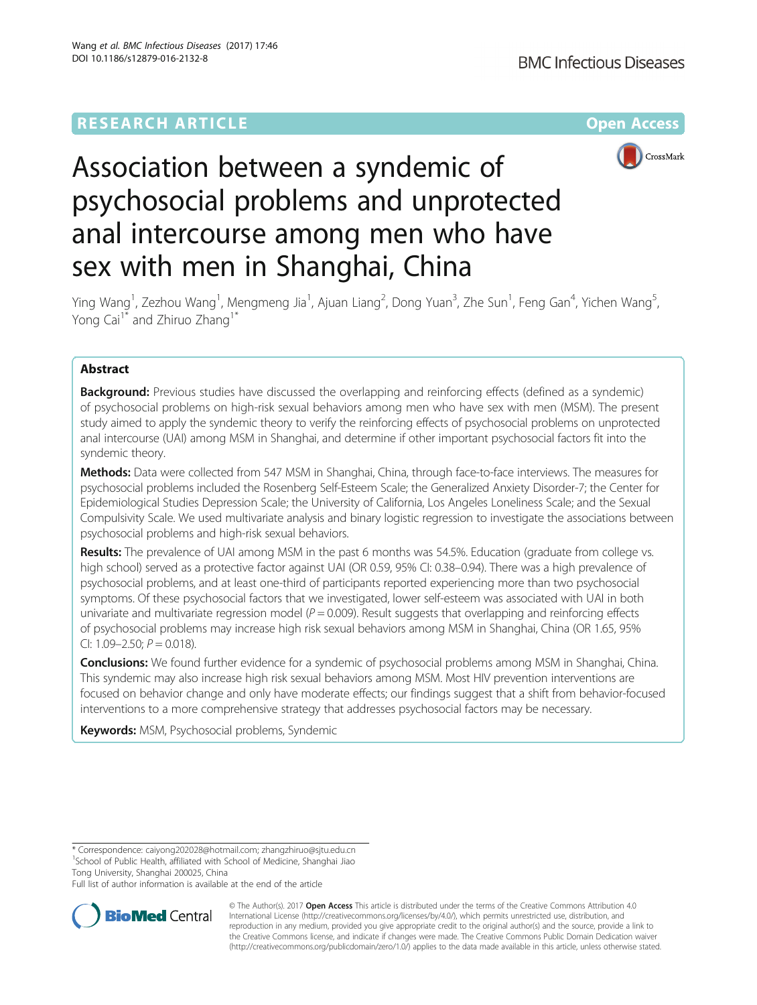# **RESEARCH ARTICLE Example 2014 12:30 The Company Access** (RESEARCH ARTICLE



# Association between a syndemic of psychosocial problems and unprotected anal intercourse among men who have sex with men in Shanghai, China

Ying Wang<sup>1</sup>, Zezhou Wang<sup>1</sup>, Mengmeng Jia<sup>1</sup>, Ajuan Liang<sup>2</sup>, Dong Yuan<sup>3</sup>, Zhe Sun<sup>1</sup>, Feng Gan<sup>4</sup>, Yichen Wang<sup>5</sup> , Yong Cai<sup>1\*</sup> and Zhiruo Zhang<sup>1\*</sup>

# Abstract

Background: Previous studies have discussed the overlapping and reinforcing effects (defined as a syndemic) of psychosocial problems on high-risk sexual behaviors among men who have sex with men (MSM). The present study aimed to apply the syndemic theory to verify the reinforcing effects of psychosocial problems on unprotected anal intercourse (UAI) among MSM in Shanghai, and determine if other important psychosocial factors fit into the syndemic theory.

Methods: Data were collected from 547 MSM in Shanghai, China, through face-to-face interviews. The measures for psychosocial problems included the Rosenberg Self-Esteem Scale; the Generalized Anxiety Disorder-7; the Center for Epidemiological Studies Depression Scale; the University of California, Los Angeles Loneliness Scale; and the Sexual Compulsivity Scale. We used multivariate analysis and binary logistic regression to investigate the associations between psychosocial problems and high-risk sexual behaviors.

Results: The prevalence of UAI among MSM in the past 6 months was 54.5%. Education (graduate from college vs. high school) served as a protective factor against UAI (OR 0.59, 95% CI: 0.38–0.94). There was a high prevalence of psychosocial problems, and at least one-third of participants reported experiencing more than two psychosocial symptoms. Of these psychosocial factors that we investigated, lower self-esteem was associated with UAI in both univariate and multivariate regression model  $(P = 0.009)$ . Result suggests that overlapping and reinforcing effects of psychosocial problems may increase high risk sexual behaviors among MSM in Shanghai, China (OR 1.65, 95%  $Cl: 1.09 - 2.50: P = 0.018.$ 

**Conclusions:** We found further evidence for a syndemic of psychosocial problems among MSM in Shanghai, China. This syndemic may also increase high risk sexual behaviors among MSM. Most HIV prevention interventions are focused on behavior change and only have moderate effects; our findings suggest that a shift from behavior-focused interventions to a more comprehensive strategy that addresses psychosocial factors may be necessary.

**Keywords:** MSM, Psychosocial problems, Syndemic

Full list of author information is available at the end of the article



© The Author(s). 2017 **Open Access** This article is distributed under the terms of the Creative Commons Attribution 4.0 International License [\(http://creativecommons.org/licenses/by/4.0/](http://creativecommons.org/licenses/by/4.0/)), which permits unrestricted use, distribution, and reproduction in any medium, provided you give appropriate credit to the original author(s) and the source, provide a link to the Creative Commons license, and indicate if changes were made. The Creative Commons Public Domain Dedication waiver [\(http://creativecommons.org/publicdomain/zero/1.0/](http://creativecommons.org/publicdomain/zero/1.0/)) applies to the data made available in this article, unless otherwise stated.

<sup>\*</sup> Correspondence: [caiyong202028@hotmail.com;](mailto:caiyong202028@hotmail.com) [zhangzhiruo@sjtu.edu.cn](mailto:zhangzhiruo@sjtu.edu.cn) <sup>1</sup>  $1$ School of Public Health, affiliated with School of Medicine, Shanghai Jiao Tong University, Shanghai 200025, China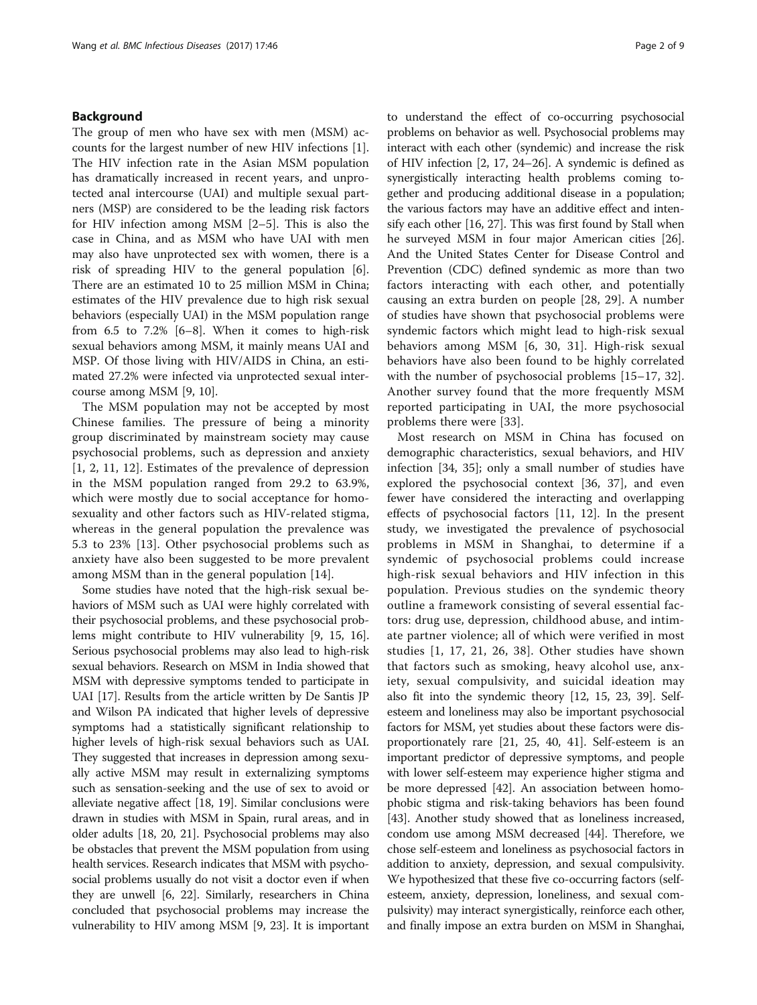# Background

The group of men who have sex with men (MSM) accounts for the largest number of new HIV infections [\[1](#page-7-0)]. The HIV infection rate in the Asian MSM population has dramatically increased in recent years, and unprotected anal intercourse (UAI) and multiple sexual partners (MSP) are considered to be the leading risk factors for HIV infection among MSM [\[2](#page-7-0)–[5](#page-7-0)]. This is also the case in China, and as MSM who have UAI with men may also have unprotected sex with women, there is a risk of spreading HIV to the general population [\[6](#page-7-0)]. There are an estimated 10 to 25 million MSM in China; estimates of the HIV prevalence due to high risk sexual behaviors (especially UAI) in the MSM population range from 6.5 to 7.2% [[6](#page-7-0)–[8](#page-7-0)]. When it comes to high-risk sexual behaviors among MSM, it mainly means UAI and MSP. Of those living with HIV/AIDS in China, an estimated 27.2% were infected via unprotected sexual intercourse among MSM [\[9](#page-7-0), [10](#page-7-0)].

The MSM population may not be accepted by most Chinese families. The pressure of being a minority group discriminated by mainstream society may cause psychosocial problems, such as depression and anxiety [[1, 2, 11](#page-7-0), [12\]](#page-7-0). Estimates of the prevalence of depression in the MSM population ranged from 29.2 to 63.9%, which were mostly due to social acceptance for homosexuality and other factors such as HIV-related stigma, whereas in the general population the prevalence was 5.3 to 23% [\[13](#page-7-0)]. Other psychosocial problems such as anxiety have also been suggested to be more prevalent among MSM than in the general population [\[14](#page-7-0)].

Some studies have noted that the high-risk sexual behaviors of MSM such as UAI were highly correlated with their psychosocial problems, and these psychosocial problems might contribute to HIV vulnerability [\[9](#page-7-0), [15, 16](#page-7-0)]. Serious psychosocial problems may also lead to high-risk sexual behaviors. Research on MSM in India showed that MSM with depressive symptoms tended to participate in UAI [[17](#page-7-0)]. Results from the article written by De Santis JP and Wilson PA indicated that higher levels of depressive symptoms had a statistically significant relationship to higher levels of high-risk sexual behaviors such as UAI. They suggested that increases in depression among sexually active MSM may result in externalizing symptoms such as sensation-seeking and the use of sex to avoid or alleviate negative affect [\[18](#page-7-0), [19](#page-7-0)]. Similar conclusions were drawn in studies with MSM in Spain, rural areas, and in older adults [\[18, 20](#page-7-0), [21](#page-7-0)]. Psychosocial problems may also be obstacles that prevent the MSM population from using health services. Research indicates that MSM with psychosocial problems usually do not visit a doctor even if when they are unwell [\[6](#page-7-0), [22\]](#page-7-0). Similarly, researchers in China concluded that psychosocial problems may increase the vulnerability to HIV among MSM [\[9](#page-7-0), [23](#page-7-0)]. It is important to understand the effect of co-occurring psychosocial problems on behavior as well. Psychosocial problems may interact with each other (syndemic) and increase the risk of HIV infection [\[2, 17, 24](#page-7-0)–[26](#page-7-0)]. A syndemic is defined as synergistically interacting health problems coming together and producing additional disease in a population; the various factors may have an additive effect and intensify each other [\[16, 27](#page-7-0)]. This was first found by Stall when he surveyed MSM in four major American cities [[26](#page-7-0)]. And the United States Center for Disease Control and Prevention (CDC) defined syndemic as more than two factors interacting with each other, and potentially causing an extra burden on people [\[28](#page-7-0), [29](#page-7-0)]. A number of studies have shown that psychosocial problems were syndemic factors which might lead to high-risk sexual behaviors among MSM [[6, 30, 31\]](#page-7-0). High-risk sexual behaviors have also been found to be highly correlated with the number of psychosocial problems [[15](#page-7-0)–[17](#page-7-0), [32](#page-7-0)]. Another survey found that the more frequently MSM reported participating in UAI, the more psychosocial problems there were [[33\]](#page-7-0).

Most research on MSM in China has focused on demographic characteristics, sexual behaviors, and HIV infection [\[34, 35\]](#page-8-0); only a small number of studies have explored the psychosocial context [[36](#page-8-0), [37\]](#page-8-0), and even fewer have considered the interacting and overlapping effects of psychosocial factors [\[11, 12\]](#page-7-0). In the present study, we investigated the prevalence of psychosocial problems in MSM in Shanghai, to determine if a syndemic of psychosocial problems could increase high-risk sexual behaviors and HIV infection in this population. Previous studies on the syndemic theory outline a framework consisting of several essential factors: drug use, depression, childhood abuse, and intimate partner violence; all of which were verified in most studies [[1](#page-7-0), [17, 21, 26,](#page-7-0) [38](#page-8-0)]. Other studies have shown that factors such as smoking, heavy alcohol use, anxiety, sexual compulsivity, and suicidal ideation may also fit into the syndemic theory [[12](#page-7-0), [15, 23](#page-7-0), [39\]](#page-8-0). Selfesteem and loneliness may also be important psychosocial factors for MSM, yet studies about these factors were disproportionately rare [[21](#page-7-0), [25](#page-7-0), [40](#page-8-0), [41](#page-8-0)]. Self-esteem is an important predictor of depressive symptoms, and people with lower self-esteem may experience higher stigma and be more depressed [\[42](#page-8-0)]. An association between homophobic stigma and risk-taking behaviors has been found [[43](#page-8-0)]. Another study showed that as loneliness increased, condom use among MSM decreased [\[44\]](#page-8-0). Therefore, we chose self-esteem and loneliness as psychosocial factors in addition to anxiety, depression, and sexual compulsivity. We hypothesized that these five co-occurring factors (selfesteem, anxiety, depression, loneliness, and sexual compulsivity) may interact synergistically, reinforce each other, and finally impose an extra burden on MSM in Shanghai,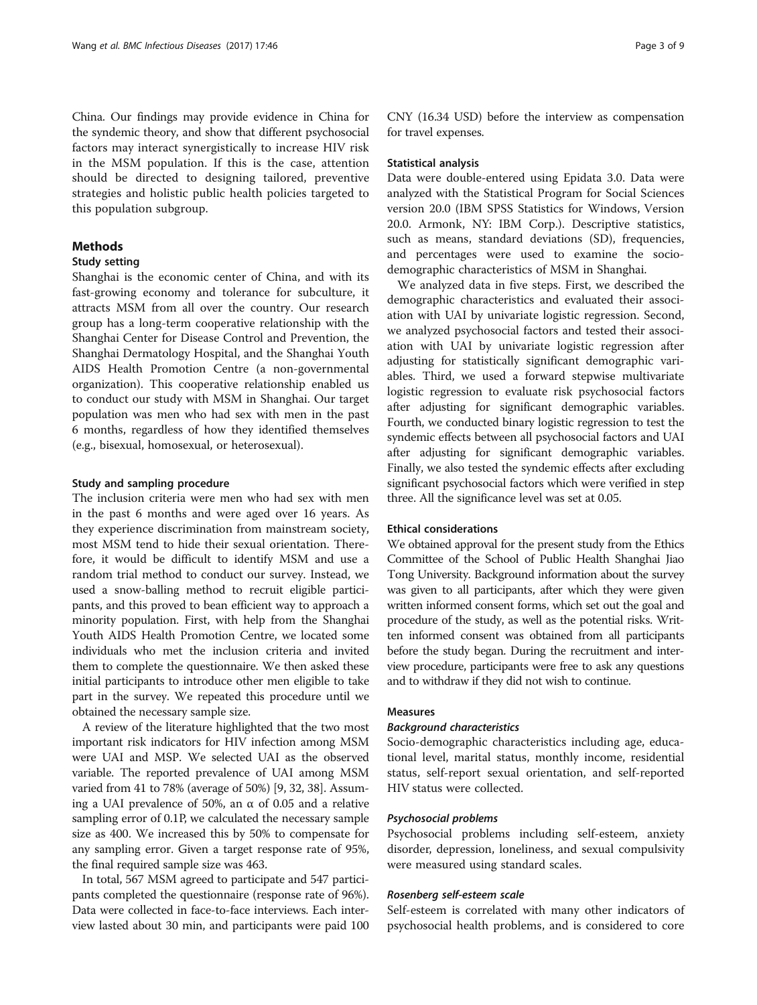China. Our findings may provide evidence in China for the syndemic theory, and show that different psychosocial factors may interact synergistically to increase HIV risk in the MSM population. If this is the case, attention should be directed to designing tailored, preventive strategies and holistic public health policies targeted to this population subgroup.

#### **Methods**

# Study setting

Shanghai is the economic center of China, and with its fast-growing economy and tolerance for subculture, it attracts MSM from all over the country. Our research group has a long-term cooperative relationship with the Shanghai Center for Disease Control and Prevention, the Shanghai Dermatology Hospital, and the Shanghai Youth AIDS Health Promotion Centre (a non-governmental organization). This cooperative relationship enabled us to conduct our study with MSM in Shanghai. Our target population was men who had sex with men in the past 6 months, regardless of how they identified themselves (e.g., bisexual, homosexual, or heterosexual).

#### Study and sampling procedure

The inclusion criteria were men who had sex with men in the past 6 months and were aged over 16 years. As they experience discrimination from mainstream society, most MSM tend to hide their sexual orientation. Therefore, it would be difficult to identify MSM and use a random trial method to conduct our survey. Instead, we used a snow-balling method to recruit eligible participants, and this proved to bean efficient way to approach a minority population. First, with help from the Shanghai Youth AIDS Health Promotion Centre, we located some individuals who met the inclusion criteria and invited them to complete the questionnaire. We then asked these initial participants to introduce other men eligible to take part in the survey. We repeated this procedure until we obtained the necessary sample size.

A review of the literature highlighted that the two most important risk indicators for HIV infection among MSM were UAI and MSP. We selected UAI as the observed variable. The reported prevalence of UAI among MSM varied from 41 to 78% (average of 50%) [\[9](#page-7-0), [32](#page-7-0), [38\]](#page-8-0). Assuming a UAI prevalence of 50%, an α of 0.05 and a relative sampling error of 0.1P, we calculated the necessary sample size as 400. We increased this by 50% to compensate for any sampling error. Given a target response rate of 95%, the final required sample size was 463.

In total, 567 MSM agreed to participate and 547 participants completed the questionnaire (response rate of 96%). Data were collected in face-to-face interviews. Each interview lasted about 30 min, and participants were paid 100

CNY (16.34 USD) before the interview as compensation for travel expenses.

#### Statistical analysis

Data were double-entered using Epidata 3.0. Data were analyzed with the Statistical Program for Social Sciences version 20.0 (IBM SPSS Statistics for Windows, Version 20.0. Armonk, NY: IBM Corp.). Descriptive statistics, such as means, standard deviations (SD), frequencies, and percentages were used to examine the sociodemographic characteristics of MSM in Shanghai.

We analyzed data in five steps. First, we described the demographic characteristics and evaluated their association with UAI by univariate logistic regression. Second, we analyzed psychosocial factors and tested their association with UAI by univariate logistic regression after adjusting for statistically significant demographic variables. Third, we used a forward stepwise multivariate logistic regression to evaluate risk psychosocial factors after adjusting for significant demographic variables. Fourth, we conducted binary logistic regression to test the syndemic effects between all psychosocial factors and UAI after adjusting for significant demographic variables. Finally, we also tested the syndemic effects after excluding significant psychosocial factors which were verified in step three. All the significance level was set at 0.05.

#### Ethical considerations

We obtained approval for the present study from the Ethics Committee of the School of Public Health Shanghai Jiao Tong University. Background information about the survey was given to all participants, after which they were given written informed consent forms, which set out the goal and procedure of the study, as well as the potential risks. Written informed consent was obtained from all participants before the study began. During the recruitment and interview procedure, participants were free to ask any questions and to withdraw if they did not wish to continue.

#### Measures

# Background characteristics

Socio-demographic characteristics including age, educational level, marital status, monthly income, residential status, self-report sexual orientation, and self-reported HIV status were collected.

### Psychosocial problems

Psychosocial problems including self-esteem, anxiety disorder, depression, loneliness, and sexual compulsivity were measured using standard scales.

# Rosenberg self-esteem scale

Self-esteem is correlated with many other indicators of psychosocial health problems, and is considered to core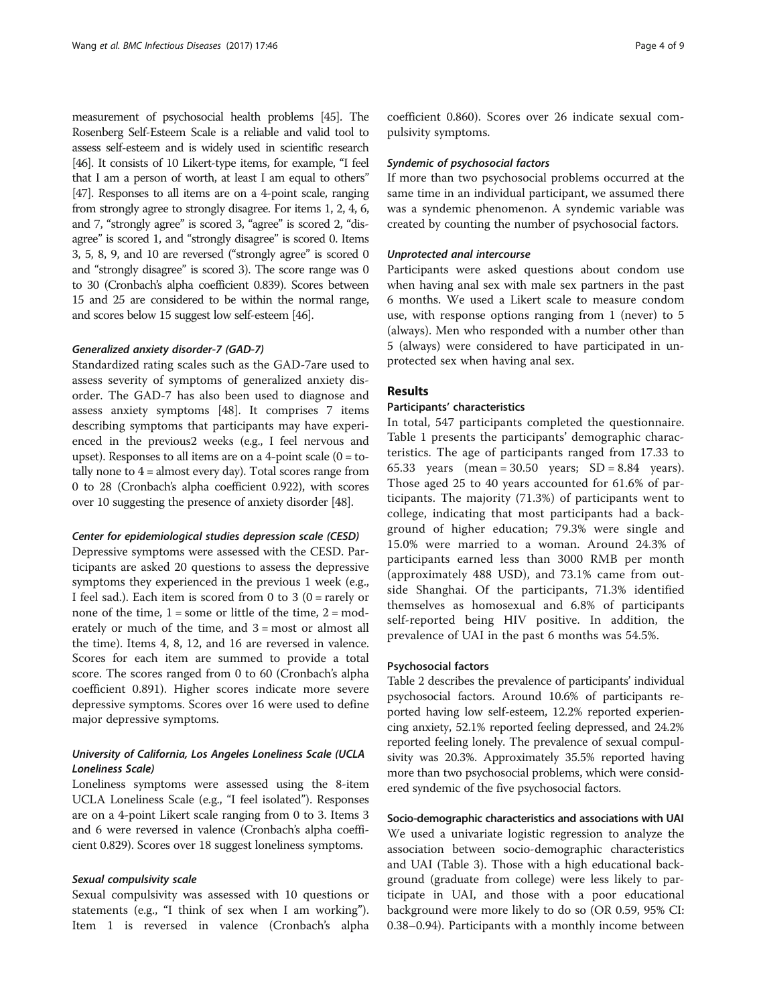measurement of psychosocial health problems [\[45\]](#page-8-0). The Rosenberg Self-Esteem Scale is a reliable and valid tool to assess self-esteem and is widely used in scientific research [[46\]](#page-8-0). It consists of 10 Likert-type items, for example, "I feel that I am a person of worth, at least I am equal to others" [[47\]](#page-8-0). Responses to all items are on a 4-point scale, ranging from strongly agree to strongly disagree. For items 1, 2, 4, 6, and 7, "strongly agree" is scored 3, "agree" is scored 2, "disagree" is scored 1, and "strongly disagree" is scored 0. Items 3, 5, 8, 9, and 10 are reversed ("strongly agree" is scored 0 and "strongly disagree" is scored 3). The score range was 0 to 30 (Cronbach's alpha coefficient 0.839). Scores between 15 and 25 are considered to be within the normal range, and scores below 15 suggest low self-esteem [\[46](#page-8-0)].

#### Generalized anxiety disorder-7 (GAD-7)

Standardized rating scales such as the GAD-7are used to assess severity of symptoms of generalized anxiety disorder. The GAD-7 has also been used to diagnose and assess anxiety symptoms [[48](#page-8-0)]. It comprises 7 items describing symptoms that participants may have experienced in the previous2 weeks (e.g., I feel nervous and upset). Responses to all items are on a 4-point scale  $(0 =$  totally none to  $4 =$  almost every day). Total scores range from 0 to 28 (Cronbach's alpha coefficient 0.922), with scores over 10 suggesting the presence of anxiety disorder [[48](#page-8-0)].

#### Center for epidemiological studies depression scale (CESD)

Depressive symptoms were assessed with the CESD. Participants are asked 20 questions to assess the depressive symptoms they experienced in the previous 1 week (e.g., I feel sad.). Each item is scored from 0 to 3 (0 = rarely or none of the time,  $1 =$ some or little of the time,  $2 =$ moderately or much of the time, and 3 = most or almost all the time). Items 4, 8, 12, and 16 are reversed in valence. Scores for each item are summed to provide a total score. The scores ranged from 0 to 60 (Cronbach's alpha coefficient 0.891). Higher scores indicate more severe depressive symptoms. Scores over 16 were used to define major depressive symptoms.

# University of California, Los Angeles Loneliness Scale (UCLA Loneliness Scale)

Loneliness symptoms were assessed using the 8-item UCLA Loneliness Scale (e.g., "I feel isolated"). Responses are on a 4-point Likert scale ranging from 0 to 3. Items 3 and 6 were reversed in valence (Cronbach's alpha coefficient 0.829). Scores over 18 suggest loneliness symptoms.

#### Sexual compulsivity scale

Sexual compulsivity was assessed with 10 questions or statements (e.g., "I think of sex when I am working"). Item 1 is reversed in valence (Cronbach's alpha

coefficient 0.860). Scores over 26 indicate sexual compulsivity symptoms.

#### Syndemic of psychosocial factors

If more than two psychosocial problems occurred at the same time in an individual participant, we assumed there was a syndemic phenomenon. A syndemic variable was created by counting the number of psychosocial factors.

# Unprotected anal intercourse

Participants were asked questions about condom use when having anal sex with male sex partners in the past 6 months. We used a Likert scale to measure condom use, with response options ranging from 1 (never) to 5 (always). Men who responded with a number other than 5 (always) were considered to have participated in unprotected sex when having anal sex.

#### Results

#### Participants' characteristics

In total, 547 participants completed the questionnaire. Table [1](#page-4-0) presents the participants' demographic characteristics. The age of participants ranged from 17.33 to 65.33 years (mean =  $30.50$  years;  $SD = 8.84$  years). Those aged 25 to 40 years accounted for 61.6% of participants. The majority (71.3%) of participants went to college, indicating that most participants had a background of higher education; 79.3% were single and 15.0% were married to a woman. Around 24.3% of participants earned less than 3000 RMB per month (approximately 488 USD), and 73.1% came from outside Shanghai. Of the participants, 71.3% identified themselves as homosexual and 6.8% of participants self-reported being HIV positive. In addition, the prevalence of UAI in the past 6 months was 54.5%.

#### Psychosocial factors

Table [2](#page-4-0) describes the prevalence of participants' individual psychosocial factors. Around 10.6% of participants reported having low self-esteem, 12.2% reported experiencing anxiety, 52.1% reported feeling depressed, and 24.2% reported feeling lonely. The prevalence of sexual compulsivity was 20.3%. Approximately 35.5% reported having more than two psychosocial problems, which were considered syndemic of the five psychosocial factors.

Socio-demographic characteristics and associations with UAI We used a univariate logistic regression to analyze the association between socio-demographic characteristics and UAI (Table [3\)](#page-5-0). Those with a high educational background (graduate from college) were less likely to participate in UAI, and those with a poor educational background were more likely to do so (OR 0.59, 95% CI: 0.38–0.94). Participants with a monthly income between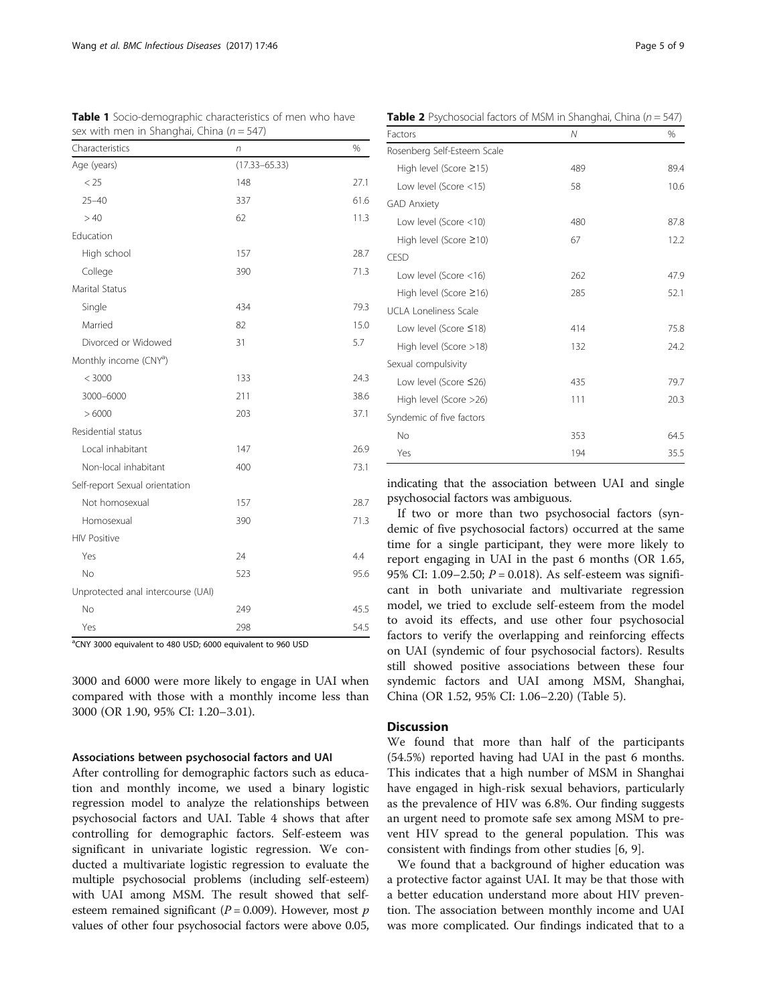equivalent to 480 USD; 6000 equivalent to 960 USD

3000 and 6000 were more likely to engage in UAI when compared with those with a monthly income less than 3000 (OR 1.90, 95% CI: 1.20–3.01).

# Associations between psychosocial factors and UAI

After controlling for demographic factors such as education and monthly income, we used a binary logistic regression model to analyze the relationships between psychosocial factors and UAI. Table [4](#page-5-0) shows that after controlling for demographic factors. Self-esteem was significant in univariate logistic regression. We conducted a multivariate logistic regression to evaluate the multiple psychosocial problems (including self-esteem) with UAI among MSM. The result showed that selfesteem remained significant ( $P = 0.009$ ). However, most p values of other four psychosocial factors were above 0.05, indicating that the association between UAI and single psychosocial factors was ambiguous.

If two or more than two psychosocial factors (syndemic of five psychosocial factors) occurred at the same time for a single participant, they were more likely to report engaging in UAI in the past 6 months (OR 1.65, 95% CI: 1.09–2.50;  $P = 0.018$ ). As self-esteem was significant in both univariate and multivariate regression model, we tried to exclude self-esteem from the model to avoid its effects, and use other four psychosocial factors to verify the overlapping and reinforcing effects on UAI (syndemic of four psychosocial factors). Results still showed positive associations between these four syndemic factors and UAI among MSM, Shanghai, China (OR 1.52, 95% CI: 1.06–2.20) (Table [5](#page-6-0)).

#### **Discussion**

CESD

UCLA Loneliness Scale

Sexual compulsivity

Syndemic of five factors

We found that more than half of the participants (54.5%) reported having had UAI in the past 6 months. This indicates that a high number of MSM in Shanghai have engaged in high-risk sexual behaviors, particularly as the prevalence of HIV was 6.8%. Our finding suggests an urgent need to promote safe sex among MSM to prevent HIV spread to the general population. This was consistent with findings from other studies [[6, 9\]](#page-7-0).

We found that a background of higher education was a protective factor against UAI. It may be that those with a better education understand more about HIV prevention. The association between monthly income and UAI was more complicated. Our findings indicated that to a

| Characteristics                    | $\sqrt{n}$        | $\%$ |
|------------------------------------|-------------------|------|
| Age (years)                        | $(17.33 - 65.33)$ |      |
| < 25                               | 148               | 27.1 |
| $25 - 40$                          | 337               | 61.6 |
| >40                                | 62                | 11.3 |
| Education                          |                   |      |
| High school                        | 157               | 28.7 |
| College                            | 390               | 71.3 |
| Marital Status                     |                   |      |
| Single                             | 434               | 79.3 |
| Married                            | 82                | 15.0 |
| Divorced or Widowed                | 31                | 5.7  |
| Monthly income (CNY <sup>a</sup> ) |                   |      |
| < 3000                             | 133               | 24.3 |
| 3000-6000                          | 211               | 38.6 |
| >6000                              | 203               | 37.1 |
| Residential status                 |                   |      |
| Local inhabitant                   | 147               | 26.9 |
| Non-local inhabitant               | 400               | 73.1 |
| Self-report Sexual orientation     |                   |      |
| Not homosexual                     | 157               | 28.7 |
| Homosexual                         | 390               | 71.3 |
| <b>HIV Positive</b>                |                   |      |
| Yes                                | 24                | 4.4  |
| No                                 | 523               | 95.6 |
| Unprotected anal intercourse (UAI) |                   |      |
| <b>No</b>                          | 249               | 45.5 |
| Yes                                | 298               | 54.5 |

<span id="page-4-0"></span>Table 1 Socio-demographic characteristics of men who have sex with men in Shanghai, China ( $n = 547$ )

| <b>Factors</b>               | N   | $\frac{0}{0}$ |  |  |  |
|------------------------------|-----|---------------|--|--|--|
| Rosenberg Self-Esteem Scale  |     |               |  |  |  |
| High level (Score $\geq$ 15) | 489 | 894           |  |  |  |
| Low level (Score $<$ 15)     | 58  | 10.6          |  |  |  |
| <b>GAD Anxiety</b>           |     |               |  |  |  |

Low level (Score <10) 480 480 87.8 High level (Score  $\geq$ 10) 67 12.2

Low level (Score <16) 262 47.9 High level (Score  $\geq 16$ ) 285 52.1

Low level (Score  $\leq 18$ ) 414 414 75.8 High level (Score >18) 132 24.2

Low level (Score  $\leq 26$ ) 435 435 79.7 High level (Score >26) 111 20.3

No 64.5 Yes 25.5

**Table 2** Psychosocial factors of MSM in Shanghai, China ( $n = 547$ )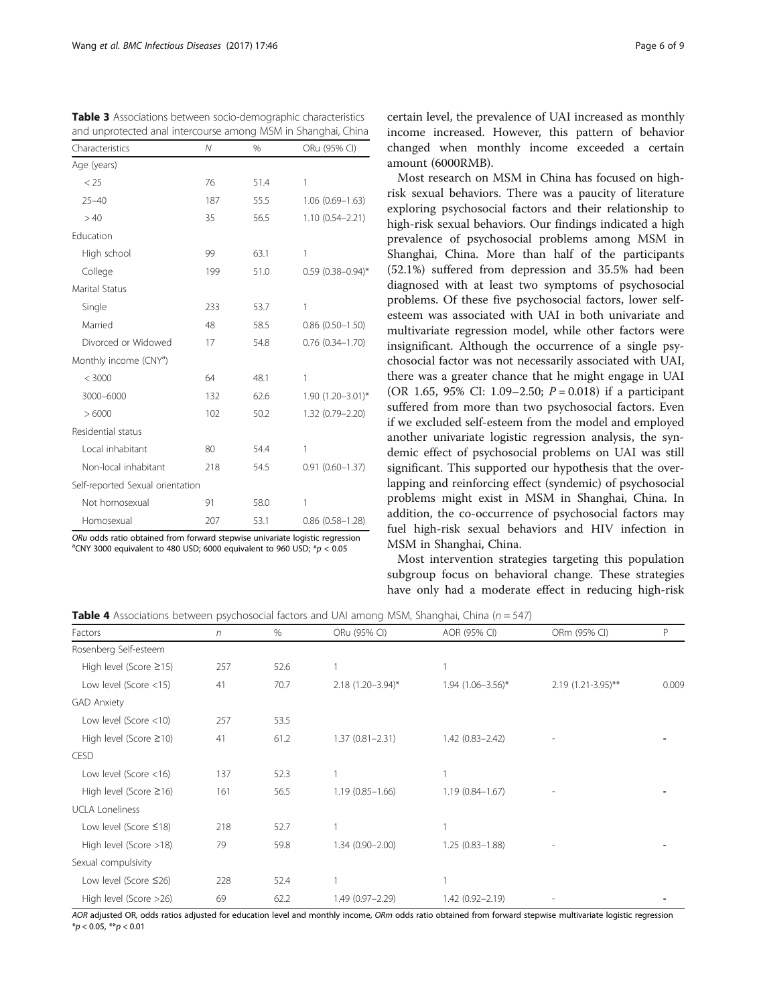<span id="page-5-0"></span>Table 3 Associations between socio-demographic characteristics and unprotected anal intercourse among MSM in Shanghai, China

| Characteristics                    | N   | %    | ORu (95% CI)            |  |
|------------------------------------|-----|------|-------------------------|--|
| Age (years)                        |     |      |                         |  |
| < 25                               | 76  | 51.4 | 1                       |  |
| $25 - 40$                          | 187 | 55.5 | $1.06(0.69 - 1.63)$     |  |
| >40                                | 35  | 56.5 | $1.10(0.54 - 2.21)$     |  |
| Education                          |     |      |                         |  |
| High school                        | 99  | 63.1 | 1                       |  |
| College                            | 199 | 51.0 | $0.59(0.38 - 0.94)$ *   |  |
| <b>Marital Status</b>              |     |      |                         |  |
| Single                             | 233 | 53.7 | 1                       |  |
| Married                            | 48  | 58.5 | $0.86(0.50 - 1.50)$     |  |
| Divorced or Widowed                | 17  | 54.8 | $0.76$ $(0.34 - 1.70)$  |  |
| Monthly income (CNY <sup>a</sup> ) |     |      |                         |  |
| < 3000                             | 64  | 48.1 | 1                       |  |
| 3000-6000                          | 132 | 62.6 | $1.90(1.20 - 3.01)^{*}$ |  |
| >6000                              | 102 | 50.2 | 1.32 (0.79-2.20)        |  |
| Residential status                 |     |      |                         |  |
| Local inhabitant                   | 80  | 54.4 | 1                       |  |
| Non-local inhabitant               | 218 | 54.5 | $0.91(0.60 - 1.37)$     |  |
| Self-reported Sexual orientation   |     |      |                         |  |
| Not homosexual                     | 91  | 58.0 | 1                       |  |
| Homosexual                         | 207 | 53.1 | $0.86(0.58 - 1.28)$     |  |

ORu odds ratio obtained from forward stepwise univariate logistic regression <sup>a</sup>CNY 3000 equivalent to 480 USD; 6000 equivalent to 960 USD;  $* p < 0.05$ 

certain level, the prevalence of UAI increased as monthly income increased. However, this pattern of behavior changed when monthly income exceeded a certain amount (6000RMB).

Most research on MSM in China has focused on highrisk sexual behaviors. There was a paucity of literature exploring psychosocial factors and their relationship to high-risk sexual behaviors. Our findings indicated a high prevalence of psychosocial problems among MSM in Shanghai, China. More than half of the participants (52.1%) suffered from depression and 35.5% had been diagnosed with at least two symptoms of psychosocial problems. Of these five psychosocial factors, lower selfesteem was associated with UAI in both univariate and multivariate regression model, while other factors were insignificant. Although the occurrence of a single psychosocial factor was not necessarily associated with UAI, there was a greater chance that he might engage in UAI (OR 1.65, 95% CI: 1.09–2.50;  $P = 0.018$ ) if a participant suffered from more than two psychosocial factors. Even if we excluded self-esteem from the model and employed another univariate logistic regression analysis, the syndemic effect of psychosocial problems on UAI was still significant. This supported our hypothesis that the overlapping and reinforcing effect (syndemic) of psychosocial problems might exist in MSM in Shanghai, China. In addition, the co-occurrence of psychosocial factors may fuel high-risk sexual behaviors and HIV infection in MSM in Shanghai, China.

Most intervention strategies targeting this population subgroup focus on behavioral change. These strategies have only had a moderate effect in reducing high-risk

**Table 4** Associations between psychosocial factors and UAI among MSM, Shanghai, China ( $n = 547$ )

| Factors                      | $\eta$ | %    | ORu (95% CI)          | AOR (95% CI)        | ORm (95% CI)       | P     |
|------------------------------|--------|------|-----------------------|---------------------|--------------------|-------|
| Rosenberg Self-esteem        |        |      |                       |                     |                    |       |
| High level (Score ≥15)       | 257    | 52.6 |                       |                     |                    |       |
| Low level (Score <15)        | 41     | 70.7 | $2.18(1.20 - 3.94)^*$ | $1.94$ (1.06-3.56)* | 2.19 (1.21-3.95)** | 0.009 |
| <b>GAD Anxiety</b>           |        |      |                       |                     |                    |       |
| Low level (Score $<$ 10)     | 257    | 53.5 |                       |                     |                    |       |
| High level (Score $\geq$ 10) | 41     | 61.2 | $1.37(0.81 - 2.31)$   | $1.42(0.83 - 2.42)$ |                    |       |
| <b>CESD</b>                  |        |      |                       |                     |                    |       |
| Low level (Score $<$ 16)     | 137    | 52.3 |                       |                     |                    |       |
| High level (Score $\geq$ 16) | 161    | 56.5 | $1.19(0.85 - 1.66)$   | $1.19(0.84 - 1.67)$ |                    |       |
| <b>UCLA Loneliness</b>       |        |      |                       |                     |                    |       |
| Low level (Score ≤18)        | 218    | 52.7 |                       |                     |                    |       |
| High level (Score >18)       | 79     | 59.8 | $1.34(0.90 - 2.00)$   | $1.25(0.83 - 1.88)$ |                    |       |
| Sexual compulsivity          |        |      |                       |                     |                    |       |
| Low level (Score ≤26)        | 228    | 52.4 |                       |                     |                    |       |
| High level (Score >26)       | 69     | 62.2 | 1.49 (0.97-2.29)      | 1.42 (0.92-2.19)    |                    |       |

AOR adjusted OR, odds ratios adjusted for education level and monthly income, ORm odds ratio obtained from forward stepwise multivariate logistic regression  $*p < 0.05, **p < 0.01$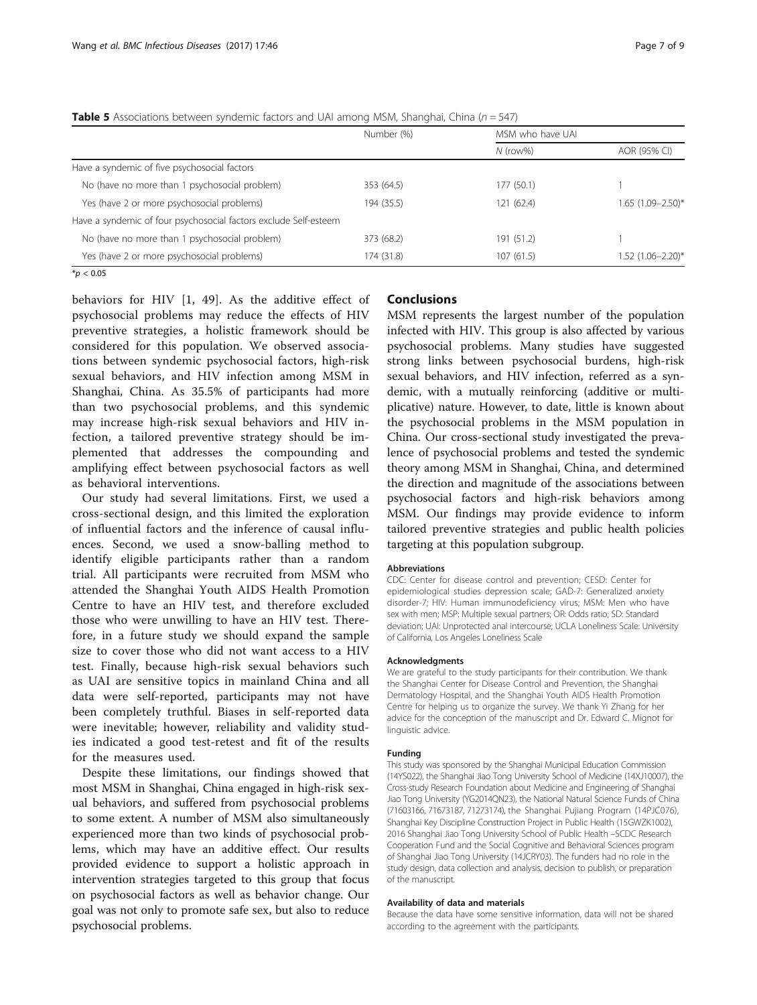|                                                                  | Number (%) | MSM who have UAI |                   |
|------------------------------------------------------------------|------------|------------------|-------------------|
|                                                                  |            | $N$ (row%)       | AOR (95% CI)      |
| Have a syndemic of five psychosocial factors                     |            |                  |                   |
| No (have no more than 1 psychosocial problem)                    | 353 (64.5) | 177 (50.1)       |                   |
| Yes (have 2 or more psychosocial problems)                       | 194 (35.5) | 121 (62.4)       | 1.65 (1.09–2.50)* |
| Have a syndemic of four psychosocial factors exclude Self-esteem |            |                  |                   |
| No (have no more than 1 psychosocial problem)                    | 373 (68.2) | 191 (51.2)       |                   |
| Yes (have 2 or more psychosocial problems)                       | 174 (31.8) | 107(61.5)        | 1.52 (1.06–2.20)* |

<span id="page-6-0"></span>**Table 5** Associations between syndemic factors and UAI among MSM, Shanghai, China ( $n = 547$ )

 $*_{p}$  < 0.05

behaviors for HIV [\[1](#page-7-0), [49](#page-8-0)]. As the additive effect of psychosocial problems may reduce the effects of HIV preventive strategies, a holistic framework should be considered for this population. We observed associations between syndemic psychosocial factors, high-risk sexual behaviors, and HIV infection among MSM in Shanghai, China. As 35.5% of participants had more than two psychosocial problems, and this syndemic may increase high-risk sexual behaviors and HIV infection, a tailored preventive strategy should be implemented that addresses the compounding and amplifying effect between psychosocial factors as well as behavioral interventions.

Our study had several limitations. First, we used a cross-sectional design, and this limited the exploration of influential factors and the inference of causal influences. Second, we used a snow-balling method to identify eligible participants rather than a random trial. All participants were recruited from MSM who attended the Shanghai Youth AIDS Health Promotion Centre to have an HIV test, and therefore excluded those who were unwilling to have an HIV test. Therefore, in a future study we should expand the sample size to cover those who did not want access to a HIV test. Finally, because high-risk sexual behaviors such as UAI are sensitive topics in mainland China and all data were self-reported, participants may not have been completely truthful. Biases in self-reported data were inevitable; however, reliability and validity studies indicated a good test-retest and fit of the results for the measures used.

Despite these limitations, our findings showed that most MSM in Shanghai, China engaged in high-risk sexual behaviors, and suffered from psychosocial problems to some extent. A number of MSM also simultaneously experienced more than two kinds of psychosocial problems, which may have an additive effect. Our results provided evidence to support a holistic approach in intervention strategies targeted to this group that focus on psychosocial factors as well as behavior change. Our goal was not only to promote safe sex, but also to reduce psychosocial problems.

# Conclusions

MSM represents the largest number of the population infected with HIV. This group is also affected by various psychosocial problems. Many studies have suggested strong links between psychosocial burdens, high-risk sexual behaviors, and HIV infection, referred as a syndemic, with a mutually reinforcing (additive or multiplicative) nature. However, to date, little is known about the psychosocial problems in the MSM population in China. Our cross-sectional study investigated the prevalence of psychosocial problems and tested the syndemic theory among MSM in Shanghai, China, and determined the direction and magnitude of the associations between psychosocial factors and high-risk behaviors among MSM. Our findings may provide evidence to inform tailored preventive strategies and public health policies targeting at this population subgroup.

#### Abbreviations

CDC: Center for disease control and prevention; CESD: Center for epidemiological studies depression scale; GAD-7: Generalized anxiety disorder-7; HIV: Human immunodeficiency virus; MSM: Men who have sex with men; MSP: Multiple sexual partners; OR: Odds ratio; SD: Standard deviation; UAI: Unprotected anal intercourse; UCLA Loneliness Scale: University of California, Los Angeles Loneliness Scale

#### Acknowledgments

We are grateful to the study participants for their contribution. We thank the Shanghai Center for Disease Control and Prevention, the Shanghai Dermatology Hospital, and the Shanghai Youth AIDS Health Promotion Centre for helping us to organize the survey. We thank Yi Zhang for her advice for the conception of the manuscript and Dr. Edward C. Mignot for linguistic advice.

#### Funding

This study was sponsored by the Shanghai Municipal Education Commission (14YS022), the Shanghai Jiao Tong University School of Medicine (14XJ10007), the Cross-study Research Foundation about Medicine and Engineering of Shanghai Jiao Tong University (YG2014QN23), the National Natural Science Funds of China (71603166, 71673187, 71273174), the Shanghai Pujiang Program (14PJC076), Shanghai Key Discipline Construction Project in Public Health (15GWZK1002), 2016 Shanghai Jiao Tong University School of Public Health –SCDC Research Cooperation Fund and the Social Cognitive and Behavioral Sciences program of Shanghai Jiao Tong University (14JCRY03). The funders had no role in the study design, data collection and analysis, decision to publish, or preparation of the manuscript.

#### Availability of data and materials

Because the data have some sensitive information, data will not be shared according to the agreement with the participants.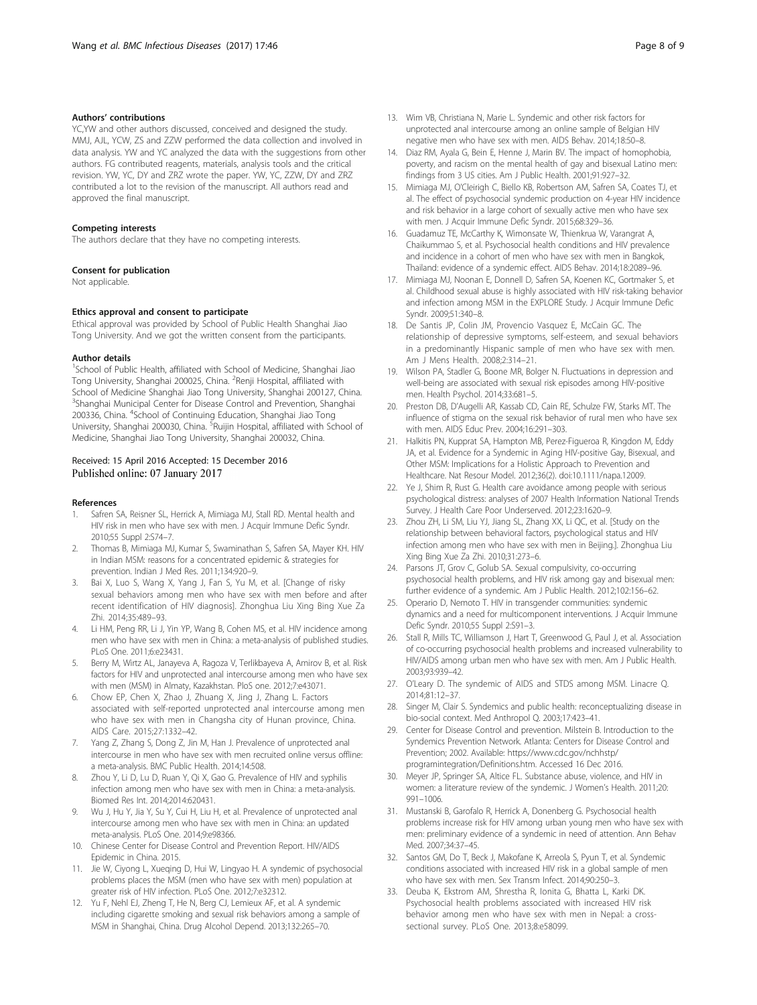#### <span id="page-7-0"></span>Authors' contributions

YC,YW and other authors discussed, conceived and designed the study. MMJ, AJL, YCW, ZS and ZZW performed the data collection and involved in data analysis. YW and YC analyzed the data with the suggestions from other authors. FG contributed reagents, materials, analysis tools and the critical revision. YW, YC, DY and ZRZ wrote the paper. YW, YC, ZZW, DY and ZRZ contributed a lot to the revision of the manuscript. All authors read and approved the final manuscript.

#### Competing interests

The authors declare that they have no competing interests.

#### Consent for publication

Not applicable.

#### Ethics approval and consent to participate

Ethical approval was provided by School of Public Health Shanghai Jiao Tong University. And we got the written consent from the participants.

#### Author details

<sup>1</sup>School of Public Health, affiliated with School of Medicine, Shanghai Jiao Tong University, Shanghai 200025, China. <sup>2</sup>Renji Hospital, affiliated with School of Medicine Shanghai Jiao Tong University, Shanghai 200127, China. <sup>3</sup>Shanghai Municipal Center for Disease Control and Prevention, Shanghai 200336, China. <sup>4</sup> School of Continuing Education, Shanghai Jiao Tong University, Shanghai 200030, China. <sup>5</sup>Ruijin Hospital, affiliated with School of Medicine, Shanghai Jiao Tong University, Shanghai 200032, China.

#### Received: 15 April 2016 Accepted: 15 December 2016 Published online: 07 January 2017

#### References

- 1. Safren SA, Reisner SL, Herrick A, Mimiaga MJ, Stall RD. Mental health and HIV risk in men who have sex with men. J Acquir Immune Defic Syndr. 2010;55 Suppl 2:S74–7.
- 2. Thomas B, Mimiaga MJ, Kumar S, Swaminathan S, Safren SA, Mayer KH. HIV in Indian MSM: reasons for a concentrated epidemic & strategies for prevention. Indian J Med Res. 2011;134:920–9.
- Bai X, Luo S, Wang X, Yang J, Fan S, Yu M, et al. [Change of risky sexual behaviors among men who have sex with men before and after recent identification of HIV diagnosis]. Zhonghua Liu Xing Bing Xue Za Zhi. 2014;35:489–93.
- 4. Li HM, Peng RR, Li J, Yin YP, Wang B, Cohen MS, et al. HIV incidence among men who have sex with men in China: a meta-analysis of published studies. PLoS One. 2011;6:e23431.
- 5. Berry M, Wirtz AL, Janayeva A, Ragoza V, Terlikbayeva A, Amirov B, et al. Risk factors for HIV and unprotected anal intercourse among men who have sex with men (MSM) in Almaty, Kazakhstan. PloS one. 2012;7:e43071.
- 6. Chow EP, Chen X, Zhao J, Zhuang X, Jing J, Zhang L. Factors associated with self-reported unprotected anal intercourse among men who have sex with men in Changsha city of Hunan province, China. AIDS Care. 2015;27:1332–42.
- 7. Yang Z, Zhang S, Dong Z, Jin M, Han J. Prevalence of unprotected anal intercourse in men who have sex with men recruited online versus offline: a meta-analysis. BMC Public Health. 2014;14:508.
- Zhou Y, Li D, Lu D, Ruan Y, Qi X, Gao G. Prevalence of HIV and syphilis infection among men who have sex with men in China: a meta-analysis. Biomed Res Int. 2014;2014:620431.
- 9. Wu J, Hu Y, Jia Y, Su Y, Cui H, Liu H, et al. Prevalence of unprotected anal intercourse among men who have sex with men in China: an updated meta-analysis. PLoS One. 2014;9:e98366.
- 10. Chinese Center for Disease Control and Prevention Report. HIV/AIDS Epidemic in China. 2015.
- 11. Jie W, Ciyong L, Xueqing D, Hui W, Lingyao H. A syndemic of psychosocial problems places the MSM (men who have sex with men) population at greater risk of HIV infection. PLoS One. 2012;7:e32312.
- 12. Yu F, Nehl EJ, Zheng T, He N, Berg CJ, Lemieux AF, et al. A syndemic including cigarette smoking and sexual risk behaviors among a sample of MSM in Shanghai, China. Drug Alcohol Depend. 2013;132:265–70.
- 13. Wim VB, Christiana N, Marie L. Syndemic and other risk factors for unprotected anal intercourse among an online sample of Belgian HIV negative men who have sex with men. AIDS Behav. 2014;18:50–8.
- 14. Diaz RM, Ayala G, Bein E, Henne J, Marin BV. The impact of homophobia, poverty, and racism on the mental health of gay and bisexual Latino men: findings from 3 US cities. Am J Public Health. 2001;91:927–32.
- 15. Mimiaga MJ, O'Cleirigh C, Biello KB, Robertson AM, Safren SA, Coates TJ, et al. The effect of psychosocial syndemic production on 4-year HIV incidence and risk behavior in a large cohort of sexually active men who have sex with men. J Acquir Immune Defic Syndr. 2015;68:329–36.
- 16. Guadamuz TE, McCarthy K, Wimonsate W, Thienkrua W, Varangrat A, Chaikummao S, et al. Psychosocial health conditions and HIV prevalence and incidence in a cohort of men who have sex with men in Bangkok, Thailand: evidence of a syndemic effect. AIDS Behav. 2014;18:2089–96.
- 17. Mimiaga MJ, Noonan E, Donnell D, Safren SA, Koenen KC, Gortmaker S, et al. Childhood sexual abuse is highly associated with HIV risk-taking behavior and infection among MSM in the EXPLORE Study. J Acquir Immune Defic Syndr. 2009;51:340–8.
- 18. De Santis JP, Colin JM, Provencio Vasquez E, McCain GC. The relationship of depressive symptoms, self-esteem, and sexual behaviors in a predominantly Hispanic sample of men who have sex with men. Am J Mens Health. 2008;2:314–21.
- 19. Wilson PA, Stadler G, Boone MR, Bolger N. Fluctuations in depression and well-being are associated with sexual risk episodes among HIV-positive men. Health Psychol. 2014;33:681–5.
- 20. Preston DB, D'Augelli AR, Kassab CD, Cain RE, Schulze FW, Starks MT. The influence of stigma on the sexual risk behavior of rural men who have sex with men. AIDS Educ Prev. 2004;16:291–303.
- 21. Halkitis PN, Kupprat SA, Hampton MB, Perez-Figueroa R, Kingdon M, Eddy JA, et al. Evidence for a Syndemic in Aging HIV-positive Gay, Bisexual, and Other MSM: Implications for a Holistic Approach to Prevention and Healthcare. Nat Resour Model. 2012;36(2). doi[:10.1111/napa.12009.](http://dx.doi.org/10.1111/napa.12009)
- 22. Ye J, Shim R, Rust G. Health care avoidance among people with serious psychological distress: analyses of 2007 Health Information National Trends Survey. J Health Care Poor Underserved. 2012;23:1620–9.
- 23. Zhou ZH, Li SM, Liu YJ, Jiang SL, Zhang XX, Li QC, et al. [Study on the relationship between behavioral factors, psychological status and HIV infection among men who have sex with men in Beijing.]. Zhonghua Liu Xing Bing Xue Za Zhi. 2010;31:273–6.
- 24. Parsons JT, Grov C, Golub SA. Sexual compulsivity, co-occurring psychosocial health problems, and HIV risk among gay and bisexual men: further evidence of a syndemic. Am J Public Health. 2012;102:156–62.
- 25. Operario D, Nemoto T. HIV in transgender communities: syndemic dynamics and a need for multicomponent interventions. J Acquir Immune Defic Syndr. 2010;55 Suppl 2:S91–3.
- 26. Stall R, Mills TC, Williamson J, Hart T, Greenwood G, Paul J, et al. Association of co-occurring psychosocial health problems and increased vulnerability to HIV/AIDS among urban men who have sex with men. Am J Public Health. 2003;93:939–42.
- 27. O'Leary D. The syndemic of AIDS and STDS among MSM. Linacre Q. 2014;81:12–37.
- 28. Singer M, Clair S. Syndemics and public health: reconceptualizing disease in bio-social context. Med Anthropol Q. 2003;17:423–41.
- 29. Center for Disease Control and prevention. Milstein B. Introduction to the Syndemics Prevention Network. Atlanta: Centers for Disease Control and Prevention; 2002. Available: [https://www.cdc.gov/nchhstp/](https://www.cdc.gov/nchhstp/programintegration/Definitions.htm) [programintegration/Definitions.htm](https://www.cdc.gov/nchhstp/programintegration/Definitions.htm). Accessed 16 Dec 2016.
- 30. Meyer JP, Springer SA, Altice FL. Substance abuse, violence, and HIV in women: a literature review of the syndemic. J Women's Health. 2011;20: 991–1006.
- 31. Mustanski B, Garofalo R, Herrick A, Donenberg G. Psychosocial health problems increase risk for HIV among urban young men who have sex with men: preliminary evidence of a syndemic in need of attention. Ann Behav Med. 2007;34:37–45.
- 32. Santos GM, Do T, Beck J, Makofane K, Arreola S, Pyun T, et al. Syndemic conditions associated with increased HIV risk in a global sample of men who have sex with men. Sex Transm Infect. 2014;90:250–3.
- 33. Deuba K, Ekstrom AM, Shrestha R, Ionita G, Bhatta L, Karki DK. Psychosocial health problems associated with increased HIV risk behavior among men who have sex with men in Nepal: a crosssectional survey. PLoS One. 2013;8:e58099.